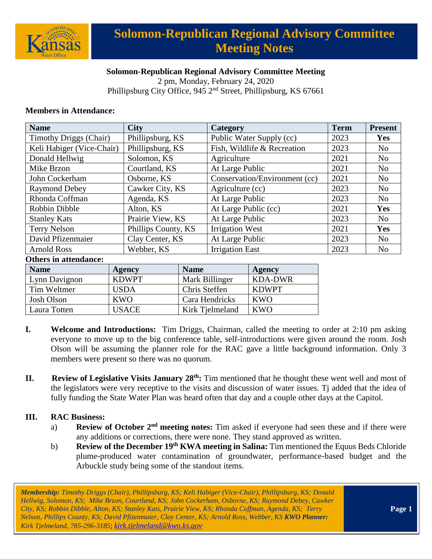

### **Solomon-Republican Regional Advisory Committee Meeting**

2 pm, Monday, February 24, 2020 Phillipsburg City Office, 945 2<sup>nd</sup> Street, Phillipsburg, KS 67661

#### **Members in Attendance:**

| <b>Name</b>                   | <b>City</b>         | Category                      | <b>Term</b> | <b>Present</b> |
|-------------------------------|---------------------|-------------------------------|-------------|----------------|
| <b>Timothy Driggs (Chair)</b> | Phillipsburg, KS    | Public Water Supply (cc)      | 2023        | <b>Yes</b>     |
| Keli Habiger (Vice-Chair)     | Phillipsburg, KS    | Fish, Wildlife & Recreation   | 2023        | N <sub>0</sub> |
| Donald Hellwig                | Solomon, KS         | Agriculture                   | 2021        | N <sub>0</sub> |
| Mike Brzon                    | Courtland, KS       | At Large Public               | 2021        | N <sub>0</sub> |
| John Cockerham                | Osborne, KS         | Conservation/Environment (cc) | 2021        | N <sub>0</sub> |
| <b>Raymond Debey</b>          | Cawker City, KS     | Agriculture (cc)              | 2023        | N <sub>0</sub> |
| Rhonda Coffman                | Agenda, KS          | At Large Public               | 2023        | N <sub>0</sub> |
| Robbin Dibble                 | Alton, KS           | At Large Public (cc)          | 2021        | Yes            |
| <b>Stanley Kats</b>           | Prairie View, KS    | At Large Public               | 2023        | N <sub>0</sub> |
| Terry Nelson                  | Phillips County, KS | <b>Irrigation West</b>        | 2021        | Yes            |
| David Pfizenmaier             | Clay Center, KS     | At Large Public               | 2023        | N <sub>0</sub> |
| <b>Arnold Ross</b>            | Webber, KS          | <b>Irrigation East</b>        | 2023        | N <sub>0</sub> |

#### **Others in attendance:**

| <b>Name</b>   | Agency       | <b>Name</b>     | Agency       |
|---------------|--------------|-----------------|--------------|
| Lynn Davignon | <b>KDWPT</b> | Mark Billinger  | KDA-DWR      |
| Tim Weltmer   | USDA         | Chris Steffen   | <b>KDWPT</b> |
| Josh Olson    | KWO          | Cara Hendricks  | KWO          |
| Laura Totten  | USACE        | Kirk Tielmeland | KWO          |

- **I. Welcome and Introductions:** Tim Driggs, Chairman, called the meeting to order at 2:10 pm asking everyone to move up to the big conference table, self-introductions were given around the room. Josh Olson will be assuming the planner role for the RAC gave a little background information. Only 3 members were present so there was no quorum.
- **II. Review of Legislative Visits January 28th:** Tim mentioned that he thought these went well and most of the legislators were very receptive to the visits and discussion of water issues. Tj added that the idea of fully funding the State Water Plan was heard often that day and a couple other days at the Capitol.

#### **III. RAC Business:**

- a) **Review of October 2<sup>nd</sup> meeting notes:** Tim asked if everyone had seen these and if there were any additions or corrections, there were none. They stand approved as written.
- b) **Review of the December 19th KWA meeting in Salina:** Tim mentioned the Equus Beds Chloride plume-produced water contamination of groundwater, performance-based budget and the Arbuckle study being some of the standout items.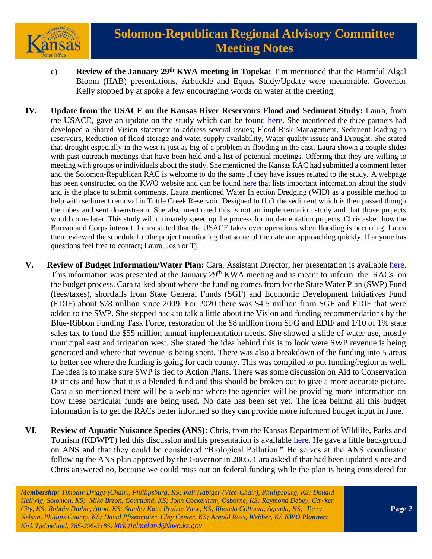

- c) **Review of the January 29th KWA meeting in Topeka:** Tim mentioned that the Harmful Algal Bloom (HAB) presentations, Arbuckle and Equus Study/Update were memorable. Governor Kelly stopped by at spoke a few encouraging words on water at the meeting.
- **IV. Update from the USACE on the Kansas River Reservoirs Flood and Sediment Study:** Laura, from the USACE, gave an update on the study which can be found [here.](https://www.kwo.ks.gov/docs/default-source/regional-advisory-committees/solomon-republican-rac/solomon-republican-rac-presentations/2019-02-24-ks-river-ws_solo-rep-rac-pres.pdf?sfvrsn=168e8214_0) She mentioned the three partners had developed a Shared Vision statement to address several issues; Flood Risk Management, Sediment loading in reservoirs, Reduction of flood storage and water supply availability, Water quality issues and Drought. She stated that drought especially in the west is just as big of a problem as flooding in the east. Laura shown a couple slides with past outreach meetings that have been held and a list of potential meetings. Offering that they are willing to meeting with groups or individuals about the study. She mentioned the Kansas RAC had submitted a comment letter and the Solomon-Republican RAC is welcome to do the same if they have issues related to the study. A webpage has been constructed on the KWO website and can be found [here](https://kwo.ks.gov/projects/kansas-watershed-study) that lists important information about the study and is the place to submit comments. Laura mentioned Water Injection Dredging (WID) as a possible method to help with sediment removal in Tuttle Creek Reservoir. Designed to fluff the sediment which is then passed though the tubes and sent downstream. She also mentioned this is not an implementation study and that those projects would come later. This study will ultimately speed up the process for implementation projects. Chris asked how the Bureau and Corps interact, Laura stated that the USACE takes over operations when flooding is occurring. Laura then reviewed the schedule for the project mentioning that some of the date are approaching quickly. If anyone has questions feel free to contact; Laura, Josh or Tj.
- **V. Review of Budget Information/Water Plan:** Cara, Assistant Director, her presentation is available [here.](https://www.kwo.ks.gov/docs/default-source/regional-advisory-committees/solomon-republican-rac/solomon-republican-rac-presentations/pbbtf_sr-rac_022420.pdf?sfvrsn=218e8214_0) This information was presented at the January 29<sup>th</sup> KWA meeting and is meant to inform the RACs on the budget process. Cara talked about where the funding comes from for the State Water Plan (SWP) Fund (fees/taxes), shortfalls from State General Funds (SGF) and Economic Development Initiatives Fund (EDIF) about \$78 million since 2009. For 2020 there was \$4.5 million from SGF and EDIF that were added to the SWP. She stepped back to talk a little about the Vision and funding recommendations by the Blue-Ribbon Funding Task Force, restoration of the \$8 million from SFG and EDIF and 1/10 of 1% state sales tax to fund the \$55 million annual implementation needs. She showed a slide of water use, mostly municipal east and irrigation west. She stated the idea behind this is to look were SWP revenue is being generated and where that revenue is being spent. There was also a breakdown of the funding into 5 areas to better see where the funding is going for each county. This was compiled to put funding/region as well. The idea is to make sure SWP is tied to Action Plans. There was some discussion on Aid to Conservation Districts and how that it is a blended fund and this should be broken out to give a more accurate picture. Cara also mentioned there will be a webinar where the agencies will be providing more information on how these particular funds are being used. No date has been set yet. The idea behind all this budget information is to get the RACs better informed so they can provide more informed budget input in June.
- **VI. Review of Aquatic Nuisance Species (ANS):** Chris, from the Kansas Department of Wildlife, Parks and Tourism (KDWPT) led this discussion and his presentation is available [here.](https://www.kwo.ks.gov/docs/default-source/regional-advisory-committees/solomon-republican-rac/solomon-republican-rac-presentations/feb-2020-republican---solomon-rac-meeting.pdf?sfvrsn=308e8214_0) He gave a little background on ANS and that they could be considered "Biological Pollution." He serves at the ANS coordinator following the ANS plan approved by the Governor in 2005. Cara asked if that had been updated since and Chris answered no, because we could miss out on federal funding while the plan is being considered for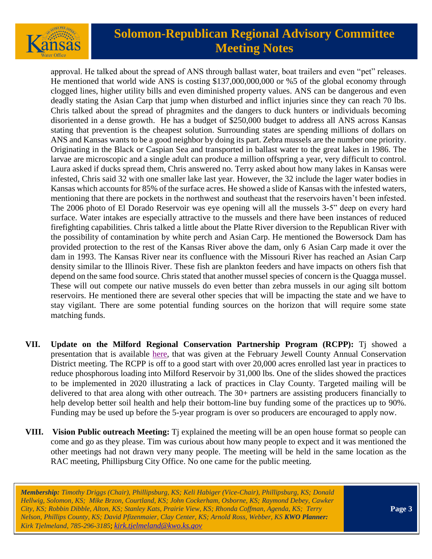

approval. He talked about the spread of ANS through ballast water, boat trailers and even "pet" releases. He mentioned that world wide ANS is costing \$137,000,000,000 or %5 of the global economy through clogged lines, higher utility bills and even diminished property values. ANS can be dangerous and even deadly stating the Asian Carp that jump when disturbed and inflict injuries since they can reach 70 lbs. Chris talked about the spread of phragmites and the dangers to duck hunters or individuals becoming disoriented in a dense growth. He has a budget of \$250,000 budget to address all ANS across Kansas stating that prevention is the cheapest solution. Surrounding states are spending millions of dollars on ANS and Kansas wants to be a good neighbor by doing its part. Zebra mussels are the number one priority. Originating in the Black or Caspian Sea and transported in ballast water to the great lakes in 1986. The larvae are microscopic and a single adult can produce a million offspring a year, very difficult to control. Laura asked if ducks spread them, Chris answered no. Terry asked about how many lakes in Kansas were infested, Chris said 32 with one smaller lake last year. However, the 32 include the lager water bodies in Kansas which accounts for 85% of the surface acres. He showed a slide of Kansas with the infested waters, mentioning that there are pockets in the northwest and southeast that the reservoirs haven't been infested. The 2006 photo of El Dorado Reservoir was eye opening will all the mussels 3-5" deep on every hard surface. Water intakes are especially attractive to the mussels and there have been instances of reduced firefighting capabilities. Chris talked a little about the Platte River diversion to the Republican River with the possibility of contamination by white perch and Asian Carp. He mentioned the Bowersock Dam has provided protection to the rest of the Kansas River above the dam, only 6 Asian Carp made it over the dam in 1993. The Kansas River near its confluence with the Missouri River has reached an Asian Carp density similar to the Illinois River. These fish are plankton feeders and have impacts on others fish that depend on the same food source. Chris stated that another mussel species of concern is the Quagga mussel. These will out compete our native mussels do even better than zebra mussels in our aging silt bottom reservoirs. He mentioned there are several other species that will be impacting the state and we have to stay vigilant. There are some potential funding sources on the horizon that will require some state matching funds.

- **VII. Update on the Milford Regional Conservation Partnership Program (RCPP):** Tj showed a presentation that is available [here,](https://www.kwo.ks.gov/docs/default-source/regional-advisory-committees/solomon-republican-rac/solomon-republican-rac-presentations/ppt_milfordrcpp_annualcd_january2020_tj.pdf?sfvrsn=d28e8214_0) that was given at the February Jewell County Annual Conservation District meeting. The RCPP is off to a good start with over 20,000 acres enrolled last year in practices to reduce phosphorous loading into Milford Reservoir by 31,000 lbs. One of the slides showed the practices to be implemented in 2020 illustrating a lack of practices in Clay County. Targeted mailing will be delivered to that area along with other outreach. The 30+ partners are assisting producers financially to help develop better soil health and help their bottom-line buy funding some of the practices up to 90%. Funding may be used up before the 5-year program is over so producers are encouraged to apply now.
- **VIII. Vision Public outreach Meeting:** Tj explained the meeting will be an open house format so people can come and go as they please. Tim was curious about how many people to expect and it was mentioned the other meetings had not drawn very many people. The meeting will be held in the same location as the RAC meeting, Phillipsburg City Office. No one came for the public meeting.